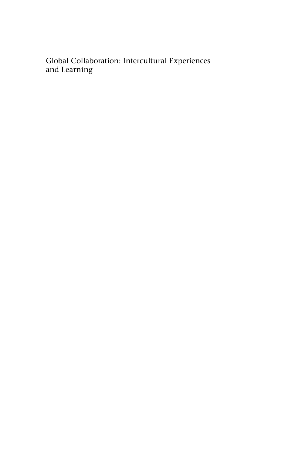Global Collaboration: Intercultural Experiences and Learning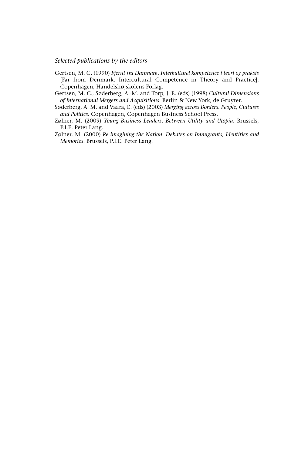*Selected publications by the editors*

- Gertsen, M. C. (1990) *Fjernt fra Danmark. Interkulturel kompetence i teori og praksis*  [Far from Denmark. Intercultural Competence in Theory and Practice]. Copenhagen, Handelshøjskolens Forlag.
- Gertsen, M. C., Søderberg, A.-M. and Torp, J. E. (eds) (1998) *Cultural Dimensions of International Mergers and Acquisitions*. Berlin & New York, de Gruyter.
- Søderberg, A. M. and Vaara, E. (eds) (2003) *Merging across Borders. People, Cultures and Politics.* Copenhagen, Copenhagen Business School Press.
- Zølner, M. (2009) *Young Business Leaders. Between Utility and Utopia*. Brussels, P.I.E. Peter Lang.
- Zølner, M. (2000) *Re-imagining the Nation. Debates on Immigrants, Identities and Memories*. Brussels, P.I.E. Peter Lang.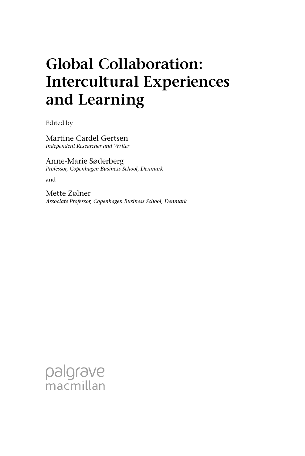## **Global Collaboration: Intercultural Experiences and Learning**

Edited by

Martine Cardel Gertsen *Independent Researcher and Writer*

Anne-Marie Søderberg *Professor, Copenhagen Business School, Denmark*

and

Mette Zølner *Associate Professor, Copenhagen Business School, Denmark*

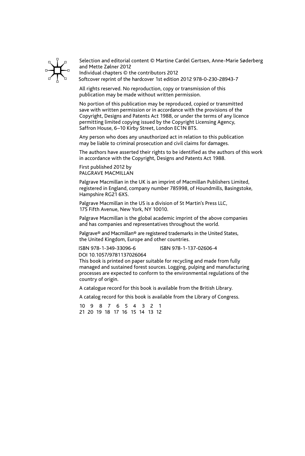

Selection and editorial content © Martine Cardel Gertsen, Anne-Marie Søderberg and Mette Zølner 2012 Individual chapters © the contributors 2012

Softcover reprint of the hardcover 1st edition 2012 978-0-230-28943-7

All rights reserved. No reproduction, copy or transmission of this publication may be made without written permission.

No portion of this publication may be reproduced, copied or transmitted save with written permission or in accordance with the provisions of the Copyright, Designs and Patents Act 1988, or under the terms of any licence permitting limited copying issued by the Copyright Licensing Agency, Saffron House, 6–10 Kirby Street, London EC1N 8TS.

Any person who does any unauthorized act in relation to this publication may be liable to criminal prosecution and civil claims for damages.

The authors have asserted their rights to be identified as the authors of this work in accordance with the Copyright, Designs and Patents Act 1988.

First published 2012 by PALGRAVE MACMILLAN

Palgrave Macmillan in the UK is an imprint of Macmillan Publishers Limited, registered in England, company number 785998, of Houndmills, Basingstoke, Hampshire RG21 6XS.

Palgrave Macmillan in the US is a division of St Martin's Press LLC, 175 Fifth Avenue, New York, NY 10010.

Palgrave Macmillan is the global academic imprint of the above companies and has companies and representatives throughout the world.

Palgrave® and Macmillan® are registered trademarks in the United States, the United Kingdom, Europe and other countries.

ISBN 978-1-349-33096-6 ISBN 978-1-137-02606-4

DOI 10.1057/9781137026064

This book is printed on paper suitable for recycling and made from fully managed and sustained forest sources. Logging, pulping and manufacturing processes are expected to conform to the environmental regulations of the country of origin.

A catalogue record for this book is available from the British Library.

A catalog record for this book is available from the Library of Congress.

10 9 8 7 6 5 4 3 2 1 21 20 19 18 17 16 15 14 13 12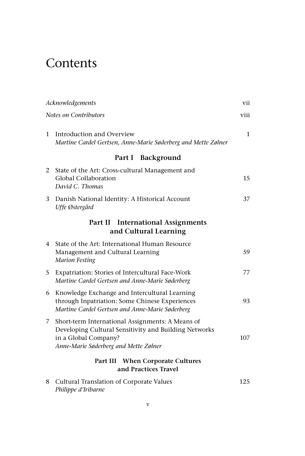## **Contents**

| Acknowledgements |                                                                                                                                                                            | vii          |
|------------------|----------------------------------------------------------------------------------------------------------------------------------------------------------------------------|--------------|
|                  | <b>Notes on Contributors</b>                                                                                                                                               | viii         |
| 1                | Introduction and Overview<br>Martine Cardel Gertsen, Anne-Marie Søderberg and Mette Zølner                                                                                 | $\mathbf{1}$ |
|                  | Part I Background                                                                                                                                                          |              |
| $\overline{2}$   | State of the Art: Cross-cultural Management and<br>Global Collaboration<br>David C. Thomas                                                                                 | 15           |
| 3                | Danish National Identity: A Historical Account<br>Uffe Østergård                                                                                                           | 37           |
|                  | Part II International Assignments<br>and Cultural Learning                                                                                                                 |              |
| 4                | State of the Art: International Human Resource<br>Management and Cultural Learning<br><b>Marion Festing</b>                                                                | 59           |
| 5                | Expatriation: Stories of Intercultural Face-Work<br>Martine Cardel Gertsen and Anne-Marie Søderberg                                                                        | 77           |
| 6                | Knowledge Exchange and Intercultural Learning<br>through Inpatriation: Some Chinese Experiences<br>Martine Cardel Gertsen and Anne-Marie Søderberg                         | 93           |
| 7                | Short-term International Assignments: A Means of<br>Developing Cultural Sensitivity and Building Networks<br>in a Global Company?<br>Anne-Marie Søderberg and Mette Zølner | 107          |
|                  | Part III When Corporate Cultures<br>and Practices Travel                                                                                                                   |              |
| 8                | Cultural Translation of Corporate Values<br>Philippe d'Iribarne                                                                                                            | 125          |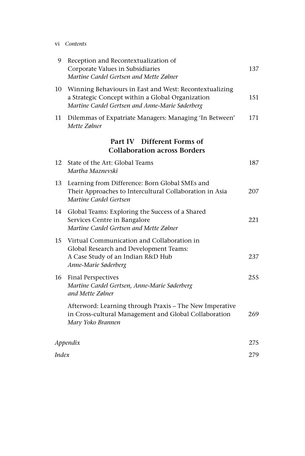| 9            | Reception and Recontextualization of<br>Corporate Values in Subsidiaries<br>Martine Cardel Gertsen and Mette Zølner                                           | 137 |
|--------------|---------------------------------------------------------------------------------------------------------------------------------------------------------------|-----|
| 10           | Winning Behaviours in East and West: Recontextualizing<br>a Strategic Concept within a Global Organization<br>Martine Cardel Gertsen and Anne-Marie Søderberg | 151 |
| 11           | Dilemmas of Expatriate Managers: Managing 'In Between'<br>Mette Zølner                                                                                        | 171 |
|              | Part IV Different Forms of<br><b>Collaboration across Borders</b>                                                                                             |     |
| 12           | State of the Art: Global Teams<br>Martha Maznevski                                                                                                            | 187 |
| 13           | Learning from Difference: Born Global SMEs and<br>Their Approaches to Intercultural Collaboration in Asia<br>Martine Cardel Gertsen                           | 207 |
| 14           | Global Teams: Exploring the Success of a Shared<br>Services Centre in Bangalore<br>Martine Cardel Gertsen and Mette Zølner                                    | 221 |
| 15           | Virtual Communication and Collaboration in<br>Global Research and Development Teams:<br>A Case Study of an Indian R&D Hub<br>Anne-Marie Søderberg             | 237 |
| 16           | <b>Final Perspectives</b><br>Martine Cardel Gertsen, Anne-Marie Søderberg<br>and Mette Zølner                                                                 | 255 |
|              | Afterword: Learning through Praxis - The New Imperative<br>in Cross-cultural Management and Global Collaboration<br>Mary Yoko Brannen                         | 269 |
| Appendix     |                                                                                                                                                               | 275 |
| <b>Index</b> |                                                                                                                                                               | 279 |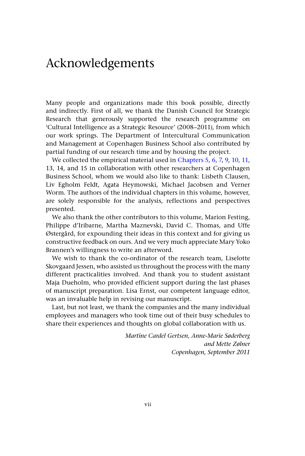## <span id="page-6-0"></span>Acknowledgements

Many people and organizations made this book possible, directly and indirectly. First of all, we thank the Danish Council for Strategic Research that generously supported the research programme on 'Cultural Intelligence as a Strategic Resource' (2008–2011), from which our work springs. The Department of Intercultural Communication and Management at Copenhagen Business School also contributed by partial funding of our research time and by housing the project.

We collected the empirical material used in Chapters 5, 6, 7, 9, 10, 11, 13, 14, and 15 in collaboration with other researchers at Copenhagen Business School, whom we would also like to thank: Lisbeth Clausen, Liv Egholm Feldt, Agata Heymowski, Michael Jacobsen and Verner Worm. The authors of the individual chapters in this volume, however, are solely responsible for the analysis, reflections and perspectives presented.

We also thank the other contributors to this volume, Marion Festing, Philippe d'Iribarne, Martha Maznevski, David C. Thomas, and Uffe Østergård, for expounding their ideas in this context and for giving us constructive feedback on ours. And we very much appreciate Mary Yoko Brannen's willingness to write an afterword.

We wish to thank the co-ordinator of the research team, Liselotte Skovgaard Jessen, who assisted us throughout the process with the many different practicalities involved. And thank you to student assistant Maja Dueholm, who provided efficient support during the last phases of manuscript preparation. Lisa Ernst, our competent language editor, was an invaluable help in revising our manuscript.

Last, but not least, we thank the companies and the many individual employees and managers who took time out of their busy schedules to share their experiences and thoughts on global collaboration with us.

> *Martine Cardel Gertsen, Anne-Marie Søderberg and Mette Zølner Copenhagen, September 2011*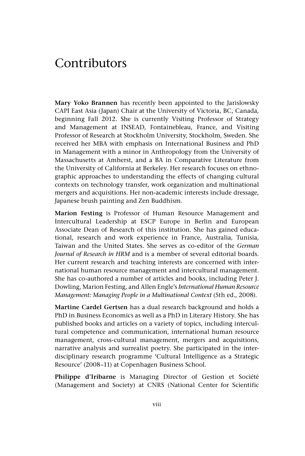## <span id="page-7-0"></span>**Contributors**

**Mary Yoko Brannen** has recently been appointed to the Jarislowsky CAPI East Asia (Japan) Chair at the University of Victoria, BC, Canada, beginning Fall 2012. She is currently Visiting Professor of Strategy and Management at INSEAD, Fontainebleau, France, and Visiting Professor of Research at Stockholm University, Stockholm, Sweden. She received her MBA with emphasis on International Business and PhD in Management with a minor in Anthropology from the University of Massachusetts at Amherst, and a BA in Comparative Literature from the University of California at Berkeley. Her research focuses on ethnographic approaches to understanding the effects of changing cultural contexts on technology transfer, work organization and multinational mergers and acquisitions. Her non-academic interests include dressage, Japanese brush painting and Zen Buddhism.

**Marion Festing** is Professor of Human Resource Management and Intercultural Leadership at ESCP Europe in Berlin and European Associate Dean of Research of this institution. She has gained educational, research and work experience in France, Australia, Tunisia, Taiwan and the United States. She serves as co-editor of the *German Journal of Research in HRM* and is a member of several editorial boards. Her current research and teaching interests are concerned with international human resource management and intercultural management. She has co-authored a number of articles and books, including Peter J. Dowling, Marion Festing, and Allen Engle's *International Human Resource Management: Managing People in a Multinational Context* (5th ed., 2008).

**Martine Cardel Gertsen** has a dual research background and holds a PhD in Business Economics as well as a PhD in Literary History. She has published books and articles on a variety of topics, including intercultural competence and communication, international human resource management, cross-cultural management, mergers and acquisitions, narrative analysis and surrealist poetry. She participated in the interdisciplinary research programme 'Cultural Intelligence as a Strategic Resource' (2008–11) at Copenhagen Business School.

**Philippe d'Iribarne** is Managing Director of Gestion et Société (Management and Society) at CNRS (National Center for Scientific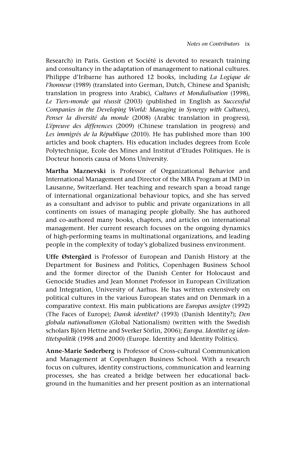Research) in Paris. Gestion et Société is devoted to research training and consultancy in the adaptation of management to national cultures. Philippe d'Iribarne has authored 12 books, including *La Logique de l'honneur* (1989) (translated into German, Dutch, Chinese and Spanish; translation in progress into Arabic), *Cultures et Mondialisation* (1998), *Le Tiers-monde qui réussit* (2003) (published in English as *Successful Companies in the Developing World: Managing in Synergy with Cultures*), *Penser la diversité du monde* (2008) (Arabic translation in progress), *L'épreuve des differences* (2009) (Chinese translation in progress) and *Les immigrés de la République* (2010). He has published more than 100 articles and book chapters. His education includes degrees from Ecole Polytechnique, Ecole des Mines and Institut d'Etudes Politiques. He is Docteur honoris causa of Mons University.

**Martha Maznevski** is Professor of Organizational Behavior and International Management and Director of the MBA Program at IMD in Lausanne, Switzerland. Her teaching and research span a broad range of international organizational behaviour topics, and she has served as a consultant and advisor to public and private organizations in all continents on issues of managing people globally. She has authored and co-authored many books, chapters, and articles on international management. Her current research focuses on the ongoing dynamics of high-performing teams in multinational organizations, and leading people in the complexity of today's globalized business environment.

**Uffe Østergård** is Professor of European and Danish History at the Department for Business and Politics, Copenhagen Business School and the former director of the Danish Center for Holocaust and Genocide Studies and Jean Monnet Professor in European Civilization and Integration, University of Aarhus. He has written extensively on political cultures in the various European states and on Denmark in a comparative context. His main publications are *Europas ansigter* (1992) (The Faces of Europe); *Dansk identitet?* (1993) (Danish Identity?); *Den globala nationalismen* (Global Nationalism) (written with the Swedish scholars Björn Hettne and Sverker Sörlin, 2006); *Europa. Identitet og identitetspolitik* (1998 and 2000) (Europe. Identity and Identity Politics).

**Anne-Marie Søderberg** is Professor of Cross-cultural Communication and Management at Copenhagen Business School. With a research focus on cultures, identity constructions, communication and learning processes, she has created a bridge between her educational background in the humanities and her present position as an international